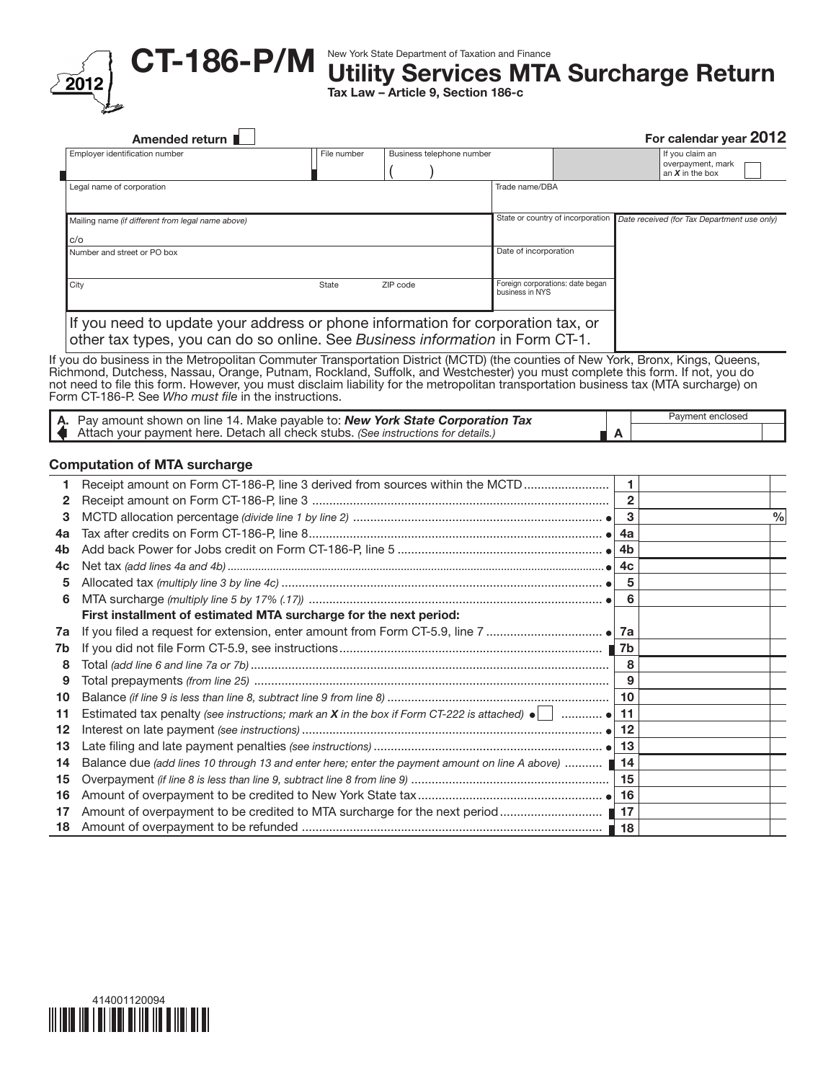

CT-186-P/M

## New York State Department of Taxation and Finance

Utility Services MTA Surcharge Return

Tax Law – Article 9, Section 186-c

|    | Amended return $\blacksquare$                                                                                                                                                                                                                                                                                                |              |                           |                 |                                   |                | For calendar year 2012                      |               |
|----|------------------------------------------------------------------------------------------------------------------------------------------------------------------------------------------------------------------------------------------------------------------------------------------------------------------------------|--------------|---------------------------|-----------------|-----------------------------------|----------------|---------------------------------------------|---------------|
|    | Employer identification number                                                                                                                                                                                                                                                                                               | File number  | Business telephone number |                 |                                   |                | If you claim an                             |               |
|    |                                                                                                                                                                                                                                                                                                                              |              |                           |                 |                                   |                | overpayment, mark<br>an $X$ in the box      |               |
|    | Legal name of corporation                                                                                                                                                                                                                                                                                                    |              |                           | Trade name/DBA  |                                   |                |                                             |               |
|    | Mailing name (if different from legal name above)                                                                                                                                                                                                                                                                            |              |                           |                 | State or country of incorporation |                | Date received (for Tax Department use only) |               |
|    | c/o                                                                                                                                                                                                                                                                                                                          |              |                           |                 |                                   |                |                                             |               |
|    | Number and street or PO box                                                                                                                                                                                                                                                                                                  |              |                           |                 | Date of incorporation             |                |                                             |               |
|    | City                                                                                                                                                                                                                                                                                                                         | <b>State</b> | ZIP code                  | business in NYS | Foreign corporations: date began  |                |                                             |               |
|    |                                                                                                                                                                                                                                                                                                                              |              |                           |                 |                                   |                |                                             |               |
|    | If you need to update your address or phone information for corporation tax, or<br>other tax types, you can do so online. See Business information in Form CT-1.                                                                                                                                                             |              |                           |                 |                                   |                |                                             |               |
|    | Richmond, Dutchess, Nassau, Orange, Putnam, Rockland, Suffolk, and Westchester) you must complete this form. If not, you do<br>not need to file this form. However, you must disclaim liability for the metropolitan transportation business tax (MTA surcharge) on<br>Form CT-186-P. See Who must file in the instructions. |              |                           |                 |                                   |                |                                             |               |
|    | A. Pay amount shown on line 14. Make payable to: New York State Corporation Tax<br>Attach your payment here. Detach all check stubs. (See instructions for details.)                                                                                                                                                         |              |                           |                 |                                   | A              | Payment enclosed                            |               |
|    | <b>Computation of MTA surcharge</b>                                                                                                                                                                                                                                                                                          |              |                           |                 |                                   |                |                                             |               |
| 1  | Receipt amount on Form CT-186-P, line 3 derived from sources within the MCTD                                                                                                                                                                                                                                                 |              |                           |                 |                                   | $\mathbf{1}$   |                                             |               |
| 2  |                                                                                                                                                                                                                                                                                                                              |              |                           |                 |                                   | $\overline{2}$ |                                             |               |
| 3  |                                                                                                                                                                                                                                                                                                                              |              |                           |                 |                                   | 3              |                                             | $\frac{0}{0}$ |
| 4a |                                                                                                                                                                                                                                                                                                                              |              |                           |                 |                                   | 4a             |                                             |               |
| 4b |                                                                                                                                                                                                                                                                                                                              |              |                           |                 |                                   | 4 <sub>b</sub> |                                             |               |
| 4c |                                                                                                                                                                                                                                                                                                                              |              |                           |                 |                                   | 4c             |                                             |               |
| 5  |                                                                                                                                                                                                                                                                                                                              |              |                           |                 |                                   | 5              |                                             |               |
| 6  |                                                                                                                                                                                                                                                                                                                              |              |                           |                 |                                   | 6              |                                             |               |
|    | First installment of estimated MTA surcharge for the next period:                                                                                                                                                                                                                                                            |              |                           |                 |                                   |                |                                             |               |
| 7a |                                                                                                                                                                                                                                                                                                                              |              |                           |                 |                                   |                |                                             |               |
| 7b |                                                                                                                                                                                                                                                                                                                              |              |                           |                 |                                   |                |                                             |               |
| 8  |                                                                                                                                                                                                                                                                                                                              |              |                           |                 |                                   | 8              |                                             |               |
| 9  |                                                                                                                                                                                                                                                                                                                              |              |                           |                 |                                   | 9              |                                             |               |
| 10 |                                                                                                                                                                                                                                                                                                                              |              |                           |                 |                                   | 10             |                                             |               |
|    |                                                                                                                                                                                                                                                                                                                              |              |                           |                 |                                   |                |                                             |               |

| 11 Estimated tax penalty (see instructions; mark an X in the box if Form CT-222 is attached) $\bullet$ $\vert$ $\bullet$ 11 |  |
|-----------------------------------------------------------------------------------------------------------------------------|--|
|                                                                                                                             |  |
|                                                                                                                             |  |
| 14 Balance due (add lines 10 through 13 and enter here; enter the payment amount on line A above)                           |  |
|                                                                                                                             |  |
|                                                                                                                             |  |
|                                                                                                                             |  |
|                                                                                                                             |  |